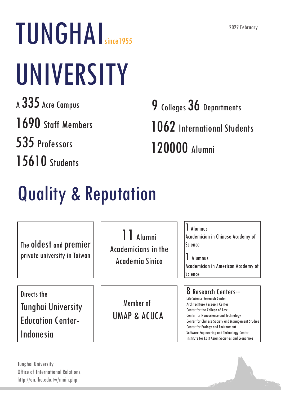TUNGHAI<sub>since1955</sub> UNIVERSITY <sup>A</sup> 335 Acre Campus

1690 Staff Members

535 Professors

15610 Students

9 Colleges 36 Departments 1062 International Students 120000 Alumni

## Quality & Reputation

11 Alumni Academicians in the Academia Sinica 1 Alumnus Academician in Chinese Academy of Science 1 Alumnus Academician in American Academy of Science Directs the Tunghai University Education Center-Indonesia The oldest and premier private university in Taiwan Member of UMAP & ACUCA **8 Research Centers--**<br>Life Science Research Center Architechture Research Center Center for the College of Law Center for Nanoscience and Technology Center for Chinese Society and Management Studies Center for Ecology and Encironment Software Engineering and Technology Center Institute for East Asian Societies and Economies

**Tunghai University** Office of International Relations http://oir.thu.edu.tw/main.php